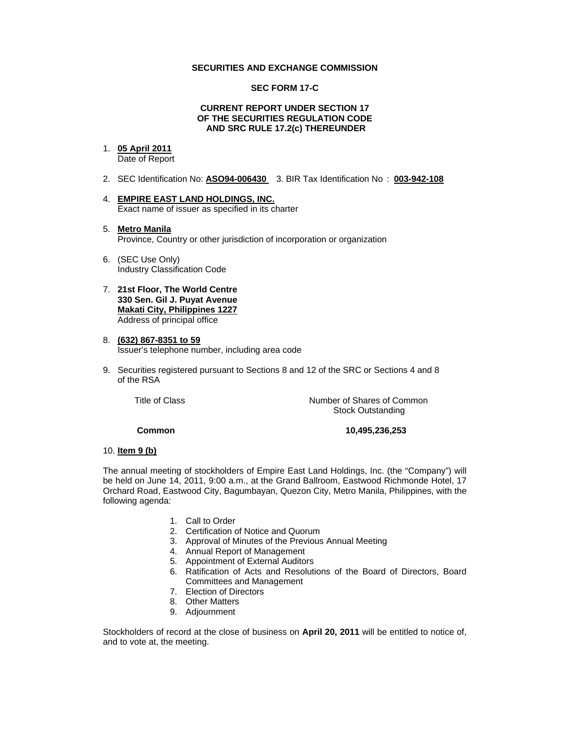### **SECURITIES AND EXCHANGE COMMISSION**

## **SEC FORM 17-C**

#### **CURRENT REPORT UNDER SECTION 17 OF THE SECURITIES REGULATION CODE AND SRC RULE 17.2(c) THEREUNDER**

# 1. **05 April 2011**

Date of Report

- 2. SEC Identification No: **ASO94-006430** 3. BIR Tax Identification No : **003-942-108**
- 4. **EMPIRE EAST LAND HOLDINGS, INC.** Exact name of issuer as specified in its charter
- 5. **Metro Manila** Province, Country or other jurisdiction of incorporation or organization
- 6. (SEC Use Only) Industry Classification Code
- 7. **21st Floor, The World Centre 330 Sen. Gil J. Puyat Avenue Makati City, Philippines 1227** Address of principal office
- 8. **(632) 867-8351 to 59** Issuer's telephone number, including area code
- 9. Securities registered pursuant to Sections 8 and 12 of the SRC or Sections 4 and 8 of the RSA

Title of Class **Number of Shares of Common** Stock Outstanding

#### **Common 10,495,236,253**

## 10. **Item 9 (b)**

The annual meeting of stockholders of Empire East Land Holdings, Inc. (the "Company") will be held on June 14, 2011, 9:00 a.m., at the Grand Ballroom, Eastwood Richmonde Hotel, 17 Orchard Road, Eastwood City, Bagumbayan, Quezon City, Metro Manila, Philippines, with the following agenda:

- 1. Call to Order
- 2. Certification of Notice and Quorum
- 3. Approval of Minutes of the Previous Annual Meeting
- 4. Annual Report of Management
- 5. Appointment of External Auditors
- 6. Ratification of Acts and Resolutions of the Board of Directors, Board Committees and Management
- 7. Election of Directors
- 8. Other Matters
- 9. Adjournment

Stockholders of record at the close of business on **April 20, 2011** will be entitled to notice of, and to vote at, the meeting.